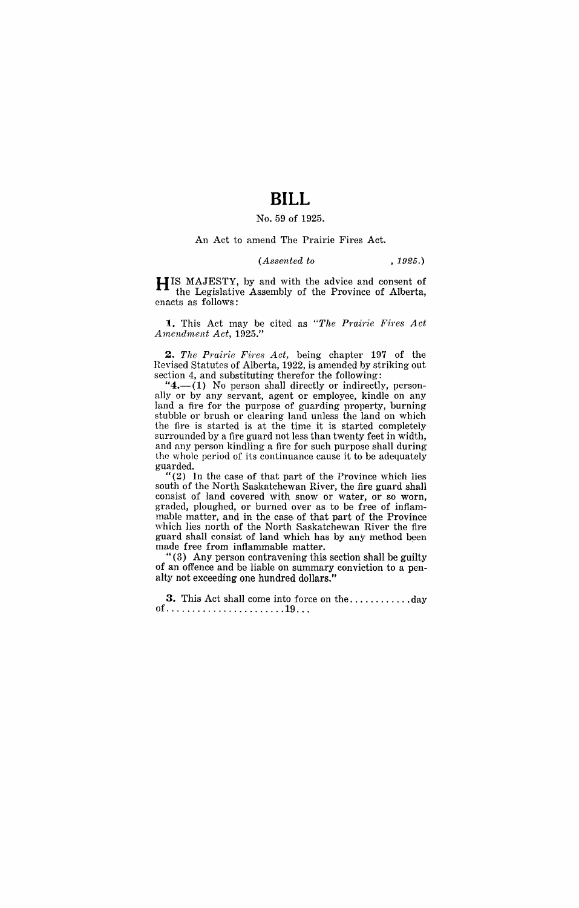# **BILL**

## No. 59 of 1925.

#### An Act to amend The Prairie Fires Act.

### *(Assented to* , 1925.)

**HIS** MAJESTY, by and with the advice and consent of the Legislative Assembly of the Province of Alberta, enacts as follows:

**1.** This Act may be cited as "The Prairie Fires Act *A mendment Act, 1925."* 

*2. The Pmirie Fires Act,* being chapter 197 of the Revised Statutes of Alberta, 1922, is amended by striking out section 4, and substituting therefor the following:

" $4$ .-(1) No person shall directly or indirectly, personally or by any servant, agent or employee, kindle on any land a fire for the purpose of guarding property, burning stubble or brush or clearing land unless the land on which the fire is started is at the time it is started completely surrounded by a fire guard not less than twenty feet in width, and any person kindling a fire for such purpose shall during the whole period of its continuance cause it to be adequately guarded.

"(2) In the case of that part of the Province which lies south of the North Saskatchewan River, the fire guard shall consist of land covered with snow or water, or so worn, graded, ploughed, or burned over as to be free of inflammable matter, and in the case of that part of the Province which lies north of the North Saskatchewan River the fire guard shall consist of land which has by any method been made free from inflammable matter.

"(3) Any person contravening this section shall be guilty of an offence and be liable on summary conviction to a penalty not exceeding one hundred dollars."

**3.** This Act shall come into force on the ............ day of ....................... 19 .. .